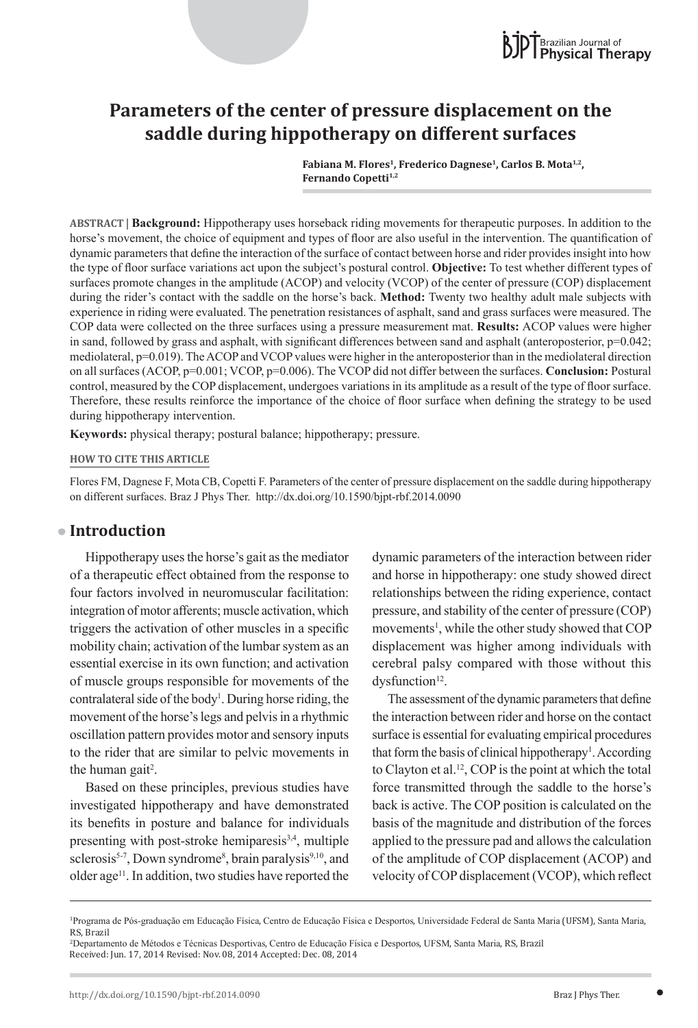

# **Parameters of the center of pressure displacement on the saddle during hippotherapy on different surfaces**

Fabiana M. Flores<sup>1</sup>, Frederico Dagnese<sup>1</sup>, Carlos B. Mota<sup>1,2</sup>, Fernando Copetti<sup>1,2</sup>

**ABSTRACT | Background:** Hippotherapy uses horseback riding movements for therapeutic purposes. In addition to the horse's movement, the choice of equipment and types of floor are also useful in the intervention. The quantification of dynamic parameters that define the interaction of the surface of contact between horse and rider provides insight into how the type of floor surface variations act upon the subject's postural control. **Objective:** To test whether different types of surfaces promote changes in the amplitude (ACOP) and velocity (VCOP) of the center of pressure (COP) displacement during the rider's contact with the saddle on the horse's back. **Method:** Twenty two healthy adult male subjects with experience in riding were evaluated. The penetration resistances of asphalt, sand and grass surfaces were measured. The COP data were collected on the three surfaces using a pressure measurement mat. **Results:** ACOP values were higher in sand, followed by grass and asphalt, with significant differences between sand and asphalt (anteroposterior, p=0.042; mediolateral, p=0.019). The ACOP and VCOP values were higher in the anteroposterior than in the mediolateral direction on all surfaces (ACOP, p=0.001; VCOP, p=0.006). The VCOP did not differ between the surfaces. **Conclusion:** Postural control, measured by the COP displacement, undergoes variations in its amplitude as a result of the type of floor surface. Therefore, these results reinforce the importance of the choice of floor surface when defining the strategy to be used during hippotherapy intervention.

**Keywords:** physical therapy; postural balance; hippotherapy; pressure.

#### **HOW TO CITE THIS ARTICLE**

Flores FM, Dagnese F, Mota CB, Copetti F. Parameters of the center of pressure displacement on the saddle during hippotherapy on different surfaces. Braz J Phys Ther. http://dx.doi.org/10.1590/bjpt-rbf.2014.0090

### **Introduction**

Hippotherapy uses the horse's gait as the mediator of a therapeutic effect obtained from the response to four factors involved in neuromuscular facilitation: integration of motor afferents; muscle activation, which triggers the activation of other muscles in a specific mobility chain; activation of the lumbar system as an essential exercise in its own function; and activation of muscle groups responsible for movements of the contralateral side of the body<sup>1</sup>. During horse riding, the movement of the horse's legs and pelvis in a rhythmic oscillation pattern provides motor and sensory inputs to the rider that are similar to pelvic movements in the human gait<sup>2</sup>.

Based on these principles, previous studies have investigated hippotherapy and have demonstrated its benefits in posture and balance for individuals presenting with post-stroke hemiparesis $3,4$ , multiple sclerosis<sup>5-7</sup>, Down syndrome<sup>8</sup>, brain paralysis<sup>9,10</sup>, and older age<sup>11</sup>. In addition, two studies have reported the

dynamic parameters of the interaction between rider and horse in hippotherapy: one study showed direct relationships between the riding experience, contact pressure, and stability of the center of pressure (COP) movements<sup>1</sup>, while the other study showed that COP displacement was higher among individuals with cerebral palsy compared with those without this dysfunction<sup>12</sup>.

The assessment of the dynamic parameters that define the interaction between rider and horse on the contact surface is essential for evaluating empirical procedures that form the basis of clinical hippotherapy<sup>1</sup>. According to Clayton et al.12, COP is the point at which the total force transmitted through the saddle to the horse's back is active. The COP position is calculated on the basis of the magnitude and distribution of the forces applied to the pressure pad and allows the calculation of the amplitude of COP displacement (ACOP) and velocity of COP displacement (VCOP), which reflect

<sup>1</sup> Programa de Pós-graduação em Educação Física, Centro de Educação Física e Desportos, Universidade Federal de Santa Maria (UFSM), Santa Maria, RS, Brazil

<sup>2</sup> Departamento de Métodos e Técnicas Desportivas, Centro de Educação Física e Desportos, UFSM, Santa Maria, RS, Brazil Received: Jun. 17, 2014 Revised: Nov. 08, 2014 Accepted: Dec. 08, 2014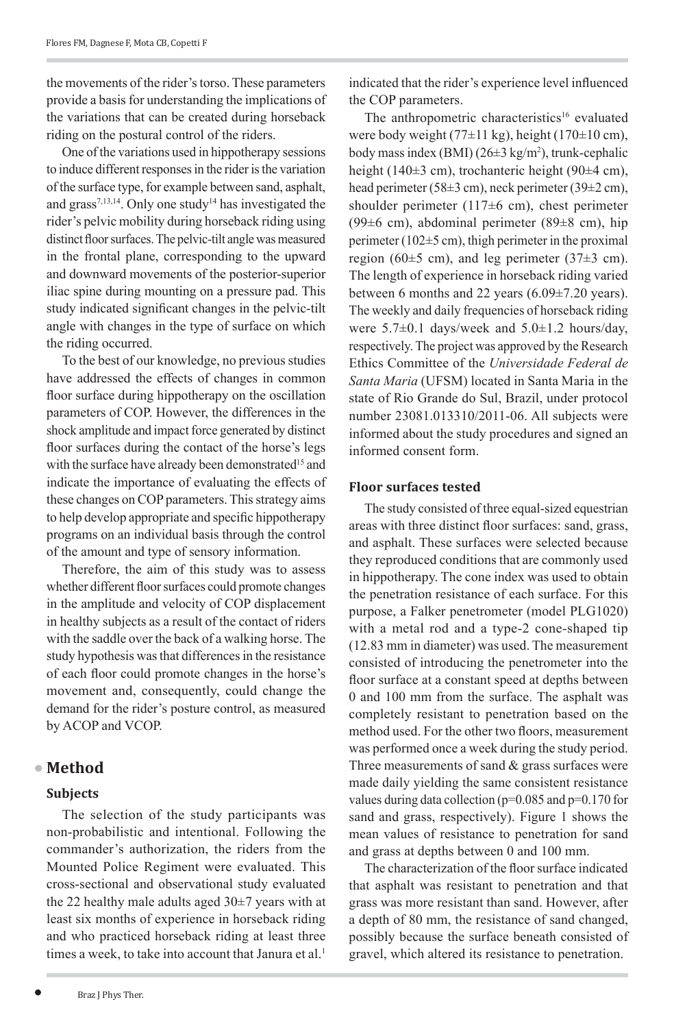the movements of the rider's torso. These parameters provide a basis for understanding the implications of the variations that can be created during horseback riding on the postural control of the riders.

One of the variations used in hippotherapy sessions to induce different responses in the rider is the variation of the surface type, for example between sand, asphalt, and grass<sup>7,13,14</sup>. Only one study<sup>14</sup> has investigated the rider's pelvic mobility during horseback riding using distinct floor surfaces. The pelvic-tilt angle was measured in the frontal plane, corresponding to the upward and downward movements of the posterior‑superior iliac spine during mounting on a pressure pad. This study indicated significant changes in the pelvic-tilt angle with changes in the type of surface on which the riding occurred.

To the best of our knowledge, no previous studies have addressed the effects of changes in common floor surface during hippotherapy on the oscillation parameters of COP. However, the differences in the shock amplitude and impact force generated by distinct floor surfaces during the contact of the horse's legs with the surface have already been demonstrated<sup>15</sup> and indicate the importance of evaluating the effects of these changes on COP parameters. This strategy aims to help develop appropriate and specific hippotherapy programs on an individual basis through the control of the amount and type of sensory information.

Therefore, the aim of this study was to assess whether different floor surfaces could promote changes in the amplitude and velocity of COP displacement in healthy subjects as a result of the contact of riders with the saddle over the back of a walking horse. The study hypothesis was that differences in the resistance of each floor could promote changes in the horse's movement and, consequently, could change the demand for the rider's posture control, as measured by ACOP and VCOP.

### **Method**

### **Subjects**

The selection of the study participants was non-probabilistic and intentional. Following the commander's authorization, the riders from the Mounted Police Regiment were evaluated. This cross-sectional and observational study evaluated the 22 healthy male adults aged 30±7 years with at least six months of experience in horseback riding and who practiced horseback riding at least three times a week, to take into account that Janura et al.<sup>1</sup>

indicated that the rider's experience level influenced the COP parameters.

The anthropometric characteristics<sup>16</sup> evaluated were body weight (77 $\pm$ 11 kg), height (170 $\pm$ 10 cm), body mass index  $(BMI)(26±3 kg/m<sup>2</sup>)$ , trunk-cephalic height (140±3 cm), trochanteric height (90±4 cm), head perimeter (58 $\pm$ 3 cm), neck perimeter (39 $\pm$ 2 cm), shoulder perimeter (117 $\pm$ 6 cm), chest perimeter (99±6 cm), abdominal perimeter (89±8 cm), hip perimeter (102±5 cm), thigh perimeter in the proximal region (60 $\pm$ 5 cm), and leg perimeter (37 $\pm$ 3 cm). The length of experience in horseback riding varied between 6 months and 22 years (6.09±7.20 years). The weekly and daily frequencies of horseback riding were  $5.7\pm0.1$  days/week and  $5.0\pm1.2$  hours/day, respectively. The project was approved by the Research Ethics Committee of the *Universidade Federal de Santa Maria* (UFSM) located in Santa Maria in the state of Rio Grande do Sul, Brazil, under protocol number 23081.013310/2011-06. All subjects were informed about the study procedures and signed an informed consent form.

#### **Floor surfaces tested**

The study consisted of three equal-sized equestrian areas with three distinct floor surfaces: sand, grass, and asphalt. These surfaces were selected because they reproduced conditions that are commonly used in hippotherapy. The cone index was used to obtain the penetration resistance of each surface. For this purpose, a Falker penetrometer (model PLG1020) with a metal rod and a type-2 cone-shaped tip (12.83 mm in diameter) was used. The measurement consisted of introducing the penetrometer into the floor surface at a constant speed at depths between 0 and 100 mm from the surface. The asphalt was completely resistant to penetration based on the method used. For the other two floors, measurement was performed once a week during the study period. Three measurements of sand  $\&$  grass surfaces were made daily yielding the same consistent resistance values during data collection ( $p=0.085$  and  $p=0.170$  for sand and grass, respectively). Figure 1 shows the mean values of resistance to penetration for sand and grass at depths between 0 and 100 mm.

The characterization of the floor surface indicated that asphalt was resistant to penetration and that grass was more resistant than sand. However, after a depth of 80 mm, the resistance of sand changed, possibly because the surface beneath consisted of gravel, which altered its resistance to penetration.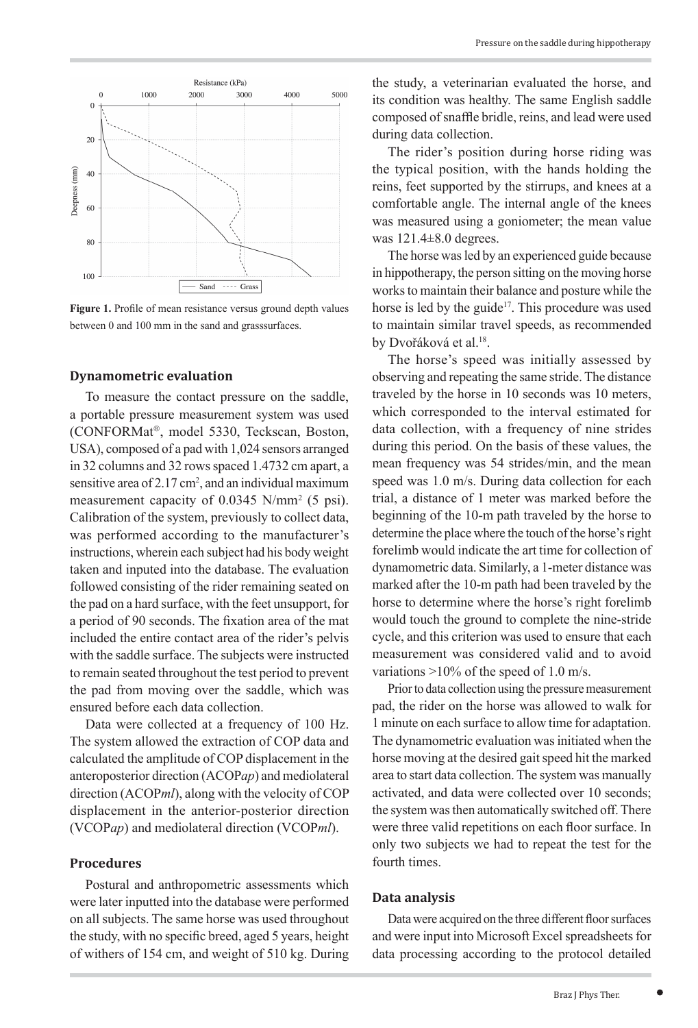

**Figure 1.** Profile of mean resistance versus ground depth values between 0 and 100 mm in the sand and grasssurfaces.

#### **Dynamometric evaluation**

To measure the contact pressure on the saddle, a portable pressure measurement system was used (CONFORMat<sup>®</sup>, model 5330, Teckscan, Boston, USA), composed of a pad with 1,024 sensors arranged in 32 columns and 32 rows spaced 1.4732 cm apart, a sensitive area of  $2.17 \text{ cm}^2$ , and an individual maximum measurement capacity of 0.0345 N/mm<sup>2</sup> (5 psi). Calibration of the system, previously to collect data, was performed according to the manufacturer's instructions, wherein each subject had his body weight taken and inputed into the database. The evaluation followed consisting of the rider remaining seated on the pad on a hard surface, with the feet unsupport, for a period of 90 seconds. The fixation area of the mat included the entire contact area of the rider's pelvis with the saddle surface. The subjects were instructed to remain seated throughout the test period to prevent the pad from moving over the saddle, which was ensured before each data collection.

Data were collected at a frequency of 100 Hz. The system allowed the extraction of COP data and calculated the amplitude of COP displacement in the anteroposterior direction (ACOP*ap*) and mediolateral direction (ACOP*ml*), along with the velocity of COP displacement in the anterior-posterior direction (VCOP*ap*) and mediolateral direction (VCOP*ml*).

#### **Procedures**

Postural and anthropometric assessments which were later inputted into the database were performed on all subjects. The same horse was used throughout the study, with no specific breed, aged 5 years, height of withers of 154 cm, and weight of 510 kg. During

the study, a veterinarian evaluated the horse, and its condition was healthy. The same English saddle composed of snaffle bridle, reins, and lead were used during data collection.

The rider's position during horse riding was the typical position, with the hands holding the reins, feet supported by the stirrups, and knees at a comfortable angle. The internal angle of the knees was measured using a goniometer; the mean value was  $121.4\pm8.0$  degrees.

The horse was led by an experienced guide because in hippotherapy, the person sitting on the moving horse works to maintain their balance and posture while the horse is led by the guide<sup>17</sup>. This procedure was used to maintain similar travel speeds, as recommended by Dvořáková et al.<sup>18</sup>.

The horse's speed was initially assessed by observing and repeating the same stride. The distance traveled by the horse in 10 seconds was 10 meters, which corresponded to the interval estimated for data collection, with a frequency of nine strides during this period. On the basis of these values, the mean frequency was 54 strides/min, and the mean speed was 1.0 m/s. During data collection for each trial, a distance of 1 meter was marked before the beginning of the 10-m path traveled by the horse to determine the place where the touch of the horse's right forelimb would indicate the art time for collection of dynamometric data. Similarly, a 1-meter distance was marked after the 10-m path had been traveled by the horse to determine where the horse's right forelimb would touch the ground to complete the nine-stride cycle, and this criterion was used to ensure that each measurement was considered valid and to avoid variations  $>10\%$  of the speed of 1.0 m/s.

Prior to data collection using the pressure measurement pad, the rider on the horse was allowed to walk for 1 minute on each surface to allow time for adaptation. The dynamometric evaluation was initiated when the horse moving at the desired gait speed hit the marked area to start data collection. The system was manually activated, and data were collected over 10 seconds; the system was then automatically switched off. There were three valid repetitions on each floor surface. In only two subjects we had to repeat the test for the fourth times.

#### **Data analysis**

Data were acquired on the three different floor surfaces and were input into Microsoft Excel spreadsheets for data processing according to the protocol detailed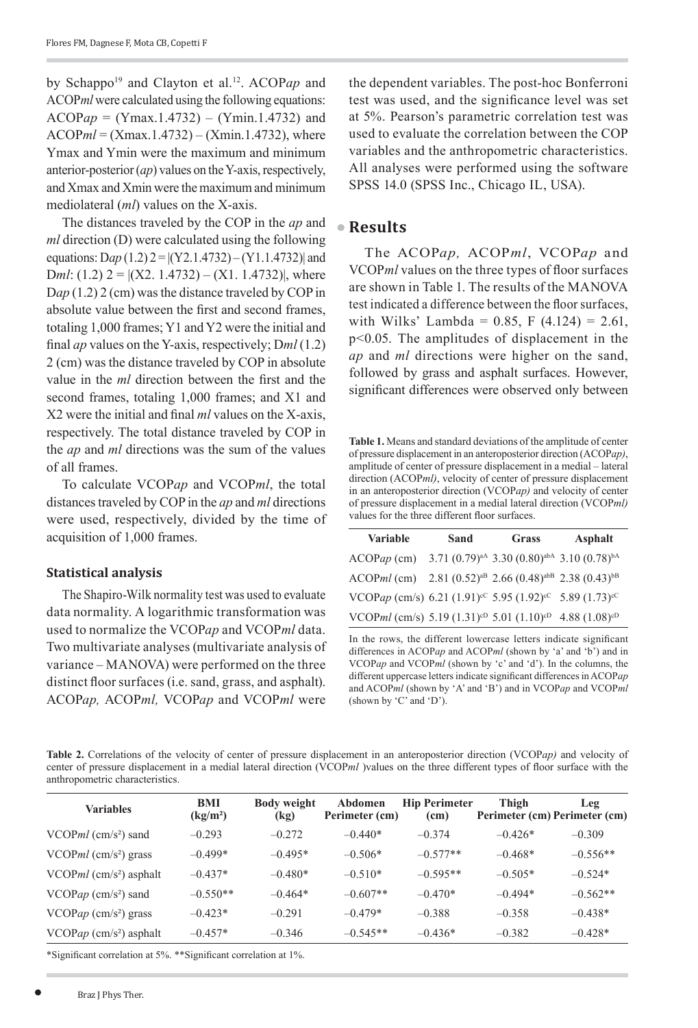by Schappo<sup>19</sup> and Clayton et al.<sup>12</sup>. ACOPap and ACOP*ml* were calculated using the following equations: ACOP*ap* = (Ymax.1.4732) – (Ymin.1.4732) and ACOP*ml* = (Xmax.1.4732) – (Xmin.1.4732), where Ymax and Ymin were the maximum and minimum anterior-posterior (*ap*) values on the Y-axis, respectively, and Xmax and Xmin were the maximum and minimum mediolateral (*ml*) values on the X-axis.

The distances traveled by the COP in the *ap* and *ml* direction (D) were calculated using the following equations: D*ap* (1.2) 2 = |(Y2.1.4732) – (Y1.1.4732)| and Dml:  $(1.2)$  2 =  $|(X2, 1.4732) - (X1, 1.4732)|$ , where D*ap* (1.2) 2 (cm) was the distance traveled by COP in absolute value between the first and second frames, totaling 1,000 frames; Y1 and Y2 were the initial and final *ap* values on the Y-axis, respectively; D*ml* (1.2) 2 (cm) was the distance traveled by COP in absolute value in the *ml* direction between the first and the second frames, totaling 1,000 frames; and X1 and X2 were the initial and final *ml* values on the X-axis, respectively. The total distance traveled by COP in the *ap* and *ml* directions was the sum of the values of all frames.

To calculate VCOP*ap* and VCOP*ml*, the total distances traveled by COP in the *ap* and *ml* directions were used, respectively, divided by the time of acquisition of 1,000 frames.

### **Statistical analysis**

The Shapiro-Wilk normality test was used to evaluate data normality. A logarithmic transformation was used to normalize the VCOP*ap* and VCOP*ml* data. Two multivariate analyses (multivariate analysis of variance – MANOVA) were performed on the three distinct floor surfaces (i.e. sand, grass, and asphalt). ACOP*ap,* ACOP*ml,* VCOP*ap* and VCOP*ml* were the dependent variables. The post-hoc Bonferroni test was used, and the significance level was set at 5%. Pearson's parametric correlation test was used to evaluate the correlation between the COP variables and the anthropometric characteristics. All analyses were performed using the software SPSS 14.0 (SPSS Inc., Chicago IL, USA).

# **Results**

The ACOP*ap,* ACOP*ml*, VCOP*ap* and VCOP*ml* values on the three types of floor surfaces are shown in Table 1. The results of the MANOVA test indicated a difference between the floor surfaces, with Wilks' Lambda = 0.85, F  $(4.124) = 2.61$ , p<0.05. The amplitudes of displacement in the *ap* and *ml* directions were higher on the sand, followed by grass and asphalt surfaces. However, significant differences were observed only between

**Table 1.** Means and standard deviations of the amplitude of center of pressure displacement in an anteroposterior direction (ACOP*ap)*, amplitude of center of pressure displacement in a medial – lateral direction (ACOP*ml)*, velocity of center of pressure displacement in an anteroposterior direction (VCOP*ap)* and velocity of center of pressure displacement in a medial lateral direction (VCOP*ml)* values for the three different floor surfaces.

| <b>Variable</b>                                                                             | Sand | <b>Grass</b>                                          | Asphalt |  |
|---------------------------------------------------------------------------------------------|------|-------------------------------------------------------|---------|--|
| $ACOPap$ (cm)                                                                               |      | $3.71 (0.79)^{aA} 3.30 (0.80)^{aBA} 3.10 (0.78)^{bA}$ |         |  |
| ACOPml (cm) $2.81(0.52)^{aB} 2.66(0.48)^{abB} 2.38(0.43)^{bB}$                              |      |                                                       |         |  |
| VCOPap (cm/s) 6.21 (1.91) <sup>cC</sup> 5.95 (1.92) <sup>cC</sup> 5.89 (1.73) <sup>cC</sup> |      |                                                       |         |  |
| VCOPml (cm/s) 5.19 (1.31) <sup>cD</sup> 5.01 (1.10) <sup>cD</sup> 4.88 (1.08) <sup>cD</sup> |      |                                                       |         |  |

In the rows, the different lowercase letters indicate significant differences in ACOP*ap* and ACOP*ml* (shown by 'a' and 'b') and in VCOP*ap* and VCOP*ml* (shown by 'c' and 'd'). In the columns, the different uppercase letters indicate significant differences in ACOP*ap* and ACOP*ml* (shown by 'A' and 'B') and in VCOP*ap* and VCOP*ml* (shown by 'C' and 'D').

**Table 2.** Correlations of the velocity of center of pressure displacement in an anteroposterior direction (VCOP*ap)* and velocity of center of pressure displacement in a medial lateral direction (VCOP*ml* )values on the three different types of floor surface with the anthropometric characteristics.

| <b>Variables</b>                       | <b>BMI</b><br>(kg/m <sup>2</sup> ) | <b>Body weight</b><br>(kg) | Abdomen<br>Perimeter (cm) | <b>Hip Perimeter</b><br>(c <sub>m</sub> ) | Thigh     | <b>Leg</b><br>Perimeter (cm) Perimeter (cm) |
|----------------------------------------|------------------------------------|----------------------------|---------------------------|-------------------------------------------|-----------|---------------------------------------------|
| VCOP $ml$ (cm/s <sup>2</sup> ) sand    | $-0.293$                           | $-0.272$                   | $-0.440*$                 | $-0.374$                                  | $-0.426*$ | $-0.309$                                    |
| VCOP $ml$ (cm/s <sup>2</sup> ) grass   | $-0.499*$                          | $-0.495*$                  | $-0.506*$                 | $-0.577**$                                | $-0.468*$ | $-0.556**$                                  |
| VCOP $ml$ (cm/s <sup>2</sup> ) asphalt | $-0.437*$                          | $-0.480*$                  | $-0.510*$                 | $-0.595**$                                | $-0.505*$ | $-0.524*$                                   |
| VCOPap (cm/s <sup>2</sup> ) sand       | $-0.550**$                         | $-0.464*$                  | $-0.607**$                | $-0.470*$                                 | $-0.494*$ | $-0.562**$                                  |
| $VCOPap$ (cm/s <sup>2</sup> ) grass    | $-0.423*$                          | $-0.291$                   | $-0.479*$                 | $-0.388$                                  | $-0.358$  | $-0.438*$                                   |
| VCOPap $\rm (cm/s^2)$ asphalt          | $-0.457*$                          | $-0.346$                   | $-0.545**$                | $-0.436*$                                 | $-0.382$  | $-0.428*$                                   |

\*Significant correlation at 5%. \*\*Significant correlation at 1%.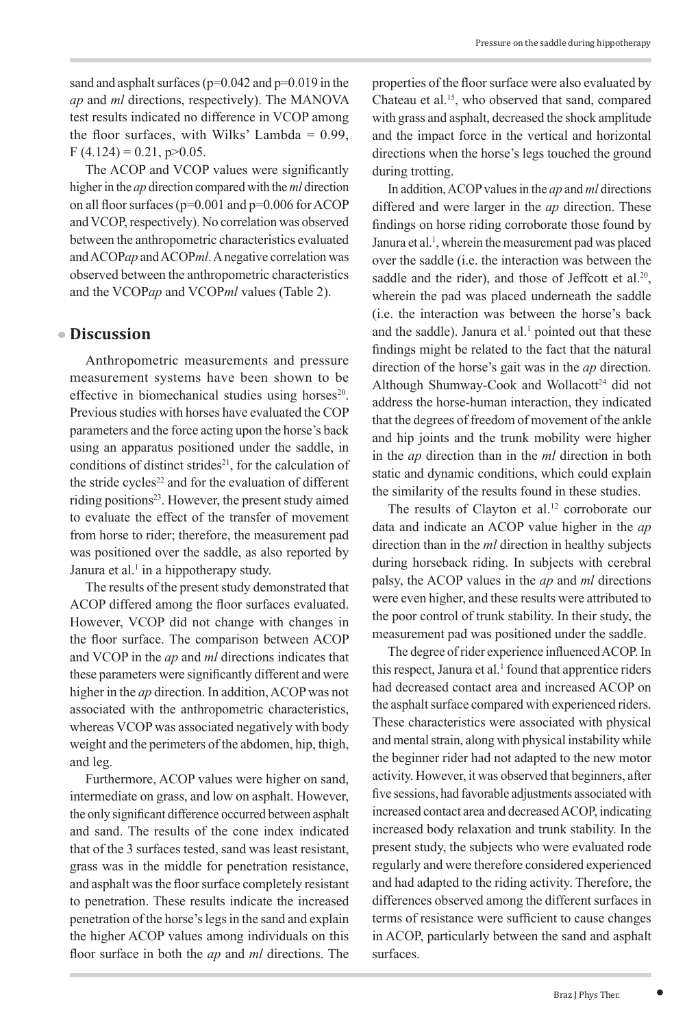sand and asphalt surfaces ( $p=0.042$  and  $p=0.019$  in the *ap* and *ml* directions, respectively). The MANOVA test results indicated no difference in VCOP among the floor surfaces, with Wilks' Lambda  $= 0.99$ ,  $F(4.124) = 0.21$ , p $> 0.05$ .

The ACOP and VCOP values were significantly higher in the *ap* direction compared with the *ml* direction on all floor surfaces (p=0.001 and p=0.006 for ACOP and VCOP, respectively). No correlation was observed between the anthropometric characteristics evaluated and ACOP*ap* and ACOP*ml*. A negative correlation was observed between the anthropometric characteristics and the VCOP*ap* and VCOP*ml* values (Table 2).

# **Discussion**

Anthropometric measurements and pressure measurement systems have been shown to be effective in biomechanical studies using horses<sup>20</sup>. Previous studies with horses have evaluated the COP parameters and the force acting upon the horse's back using an apparatus positioned under the saddle, in conditions of distinct strides $21$ , for the calculation of the stride cycles $22$  and for the evaluation of different riding positions<sup>23</sup>. However, the present study aimed to evaluate the effect of the transfer of movement from horse to rider; therefore, the measurement pad was positioned over the saddle, as also reported by Janura et al.<sup>1</sup> in a hippotherapy study.

The results of the present study demonstrated that ACOP differed among the floor surfaces evaluated. However, VCOP did not change with changes in the floor surface. The comparison between ACOP and VCOP in the *ap* and *ml* directions indicates that these parameters were significantly different and were higher in the *ap* direction. In addition, ACOP was not associated with the anthropometric characteristics, whereas VCOP was associated negatively with body weight and the perimeters of the abdomen, hip, thigh, and leg.

Furthermore, ACOP values were higher on sand, intermediate on grass, and low on asphalt. However, the only significant difference occurred between asphalt and sand. The results of the cone index indicated that of the 3 surfaces tested, sand was least resistant, grass was in the middle for penetration resistance, and asphalt was the floor surface completely resistant to penetration. These results indicate the increased penetration of the horse's legs in the sand and explain the higher ACOP values among individuals on this floor surface in both the *ap* and *ml* directions. The properties of the floor surface were also evaluated by Chateau et al.15, who observed that sand, compared with grass and asphalt, decreased the shock amplitude and the impact force in the vertical and horizontal directions when the horse's legs touched the ground during trotting.

In addition, ACOP values in the *ap* and *ml* directions differed and were larger in the *ap* direction. These findings on horse riding corroborate those found by Janura et al.<sup>1</sup>, wherein the measurement pad was placed over the saddle (i.e. the interaction was between the saddle and the rider), and those of Jeffcott et al.<sup>20</sup>, wherein the pad was placed underneath the saddle (i.e. the interaction was between the horse's back and the saddle). Janura et al. $<sup>1</sup>$  pointed out that these</sup> findings might be related to the fact that the natural direction of the horse's gait was in the *ap* direction. Although Shumway-Cook and Wollacott<sup>24</sup> did not address the horse-human interaction, they indicated that the degrees of freedom of movement of the ankle and hip joints and the trunk mobility were higher in the *ap* direction than in the *ml* direction in both static and dynamic conditions, which could explain the similarity of the results found in these studies.

The results of Clayton et al.<sup>12</sup> corroborate our data and indicate an ACOP value higher in the *ap* direction than in the *ml* direction in healthy subjects during horseback riding. In subjects with cerebral palsy, the ACOP values in the *ap* and *ml* directions were even higher, and these results were attributed to the poor control of trunk stability. In their study, the measurement pad was positioned under the saddle.

The degree of rider experience influenced ACOP. In this respect, Janura et al.<sup>1</sup> found that apprentice riders had decreased contact area and increased ACOP on the asphalt surface compared with experienced riders. These characteristics were associated with physical and mental strain, along with physical instability while the beginner rider had not adapted to the new motor activity. However, it was observed that beginners, after five sessions, had favorable adjustments associated with increased contact area and decreased ACOP, indicating increased body relaxation and trunk stability. In the present study, the subjects who were evaluated rode regularly and were therefore considered experienced and had adapted to the riding activity. Therefore, the differences observed among the different surfaces in terms of resistance were sufficient to cause changes in ACOP, particularly between the sand and asphalt surfaces.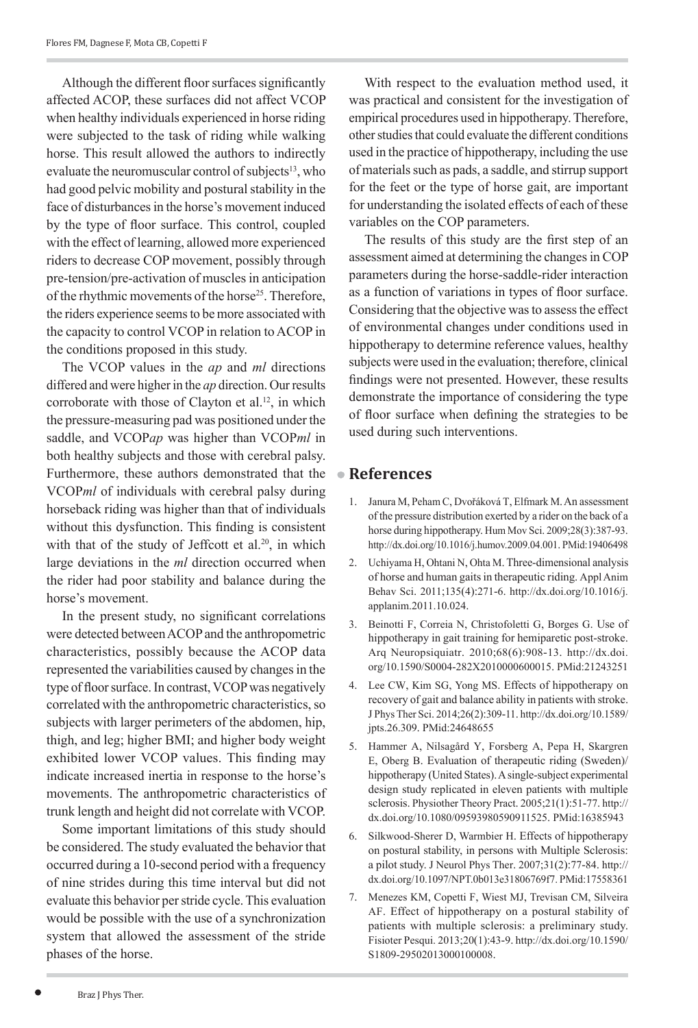Although the different floor surfaces significantly affected ACOP, these surfaces did not affect VCOP when healthy individuals experienced in horse riding were subjected to the task of riding while walking horse. This result allowed the authors to indirectly evaluate the neuromuscular control of subjects<sup>13</sup>, who had good pelvic mobility and postural stability in the face of disturbances in the horse's movement induced by the type of floor surface. This control, coupled with the effect of learning, allowed more experienced riders to decrease COP movement, possibly through pre-tension/pre-activation of muscles in anticipation of the rhythmic movements of the horse<sup>25</sup>. Therefore, the riders experience seems to be more associated with the capacity to control VCOP in relation to ACOP in the conditions proposed in this study.

The VCOP values in the *ap* and *ml* directions differed and were higher in the *ap* direction. Our results corroborate with those of Clayton et al.<sup>12</sup>, in which the pressure-measuring pad was positioned under the saddle, and VCOP*ap* was higher than VCOP*ml* in both healthy subjects and those with cerebral palsy. Furthermore, these authors demonstrated that the VCOP*ml* of individuals with cerebral palsy during horseback riding was higher than that of individuals without this dysfunction. This finding is consistent with that of the study of Jeffcott et al.<sup>20</sup>, in which large deviations in the *ml* direction occurred when the rider had poor stability and balance during the horse's movement.

In the present study, no significant correlations were detected between ACOP and the anthropometric characteristics, possibly because the ACOP data represented the variabilities caused by changes in the type of floor surface. In contrast, VCOP was negatively correlated with the anthropometric characteristics, so subjects with larger perimeters of the abdomen, hip, thigh, and leg; higher BMI; and higher body weight exhibited lower VCOP values. This finding may indicate increased inertia in response to the horse's movements. The anthropometric characteristics of trunk length and height did not correlate with VCOP.

Some important limitations of this study should be considered. The study evaluated the behavior that occurred during a 10-second period with a frequency of nine strides during this time interval but did not evaluate this behavior per stride cycle. This evaluation would be possible with the use of a synchronization system that allowed the assessment of the stride phases of the horse.

With respect to the evaluation method used, it was practical and consistent for the investigation of empirical procedures used in hippotherapy. Therefore, other studies that could evaluate the different conditions used in the practice of hippotherapy, including the use of materials such as pads, a saddle, and stirrup support for the feet or the type of horse gait, are important for understanding the isolated effects of each of these variables on the COP parameters.

The results of this study are the first step of an assessment aimed at determining the changes in COP parameters during the horse-saddle-rider interaction as a function of variations in types of floor surface. Considering that the objective was to assess the effect of environmental changes under conditions used in hippotherapy to determine reference values, healthy subjects were used in the evaluation; therefore, clinical findings were not presented. However, these results demonstrate the importance of considering the type of floor surface when defining the strategies to be used during such interventions.

### **References**

- 1. Janura M, Peham C, Dvořáková T, Elfmark M. An assessment of the pressure distribution exerted by a rider on the back of a horse during hippotherapy. Hum Mov Sci. 2009;28(3):387-93. <http://dx.doi.org/10.1016/j.humov.2009.04.001>. [PMid:19406498](http://www.ncbi.nlm.nih.gov/entrez/query.fcgi?cmd=Retrieve&db=PubMed&list_uids=19406498&dopt=Abstract)
- 2. Uchiyama H, Ohtani N, Ohta M. Three-dimensional analysis of horse and human gaits in therapeutic riding. Appl Anim Behav Sci. 2011;135(4):271-6. [http://dx.doi.org/10.1016/j.](http://dx.doi.org/10.1016/j.applanim.2011.10.024) [applanim.2011.10.024](http://dx.doi.org/10.1016/j.applanim.2011.10.024).
- 3. Beinotti F, Correia N, Christofoletti G, Borges G. Use of hippotherapy in gait training for hemiparetic post-stroke. Arq Neuropsiquiatr. 2010;68(6):908-13. [http://dx.doi.](http://dx.doi.org/10.1590/S0004-282X2010000600015) [org/10.1590/S0004-282X2010000600015](http://dx.doi.org/10.1590/S0004-282X2010000600015). [PMid:21243251](http://www.ncbi.nlm.nih.gov/entrez/query.fcgi?cmd=Retrieve&db=PubMed&list_uids=21243251&dopt=Abstract)
- 4. Lee CW, Kim SG, Yong MS. Effects of hippotherapy on recovery of gait and balance ability in patients with stroke. J Phys Ther Sci. 2014;26(2):309-11. [http://dx.doi.org/10.1589/](http://dx.doi.org/10.1589/jpts.26.309) [jpts.26.309](http://dx.doi.org/10.1589/jpts.26.309). [PMid:24648655](http://www.ncbi.nlm.nih.gov/entrez/query.fcgi?cmd=Retrieve&db=PubMed&list_uids=24648655&dopt=Abstract)
- 5. Hammer A, Nilsagård Y, Forsberg A, Pepa H, Skargren E, Oberg B. Evaluation of therapeutic riding (Sweden)/ hippotherapy (United States). A single-subject experimental design study replicated in eleven patients with multiple sclerosis. Physiother Theory Pract. 2005;21(1):51-77. [http://](http://dx.doi.org/10.1080/09593980590911525) [dx.doi.org/10.1080/09593980590911525](http://dx.doi.org/10.1080/09593980590911525). [PMid:16385943](http://www.ncbi.nlm.nih.gov/entrez/query.fcgi?cmd=Retrieve&db=PubMed&list_uids=16385943&dopt=Abstract)
- 6. Silkwood-Sherer D, Warmbier H. Effects of hippotherapy on postural stability, in persons with Multiple Sclerosis: a pilot study. J Neurol Phys Ther. 2007;31(2):77-84. [http://](http://dx.doi.org/10.1097/NPT.0b013e31806769f7) [dx.doi.org/10.1097/NPT.0b013e31806769f7](http://dx.doi.org/10.1097/NPT.0b013e31806769f7). PMid:17558361
- 7. Menezes KM, Copetti F, Wiest MJ, Trevisan CM, Silveira AF. Effect of hippotherapy on a postural stability of patients with multiple sclerosis: a preliminary study. Fisioter Pesqui. 2013;20(1):43-9. [http://dx.doi.org/10.1590/](http://dx.doi.org/10.1590/S1809-29502013000100008) [S1809-29502013000100008](http://dx.doi.org/10.1590/S1809-29502013000100008).